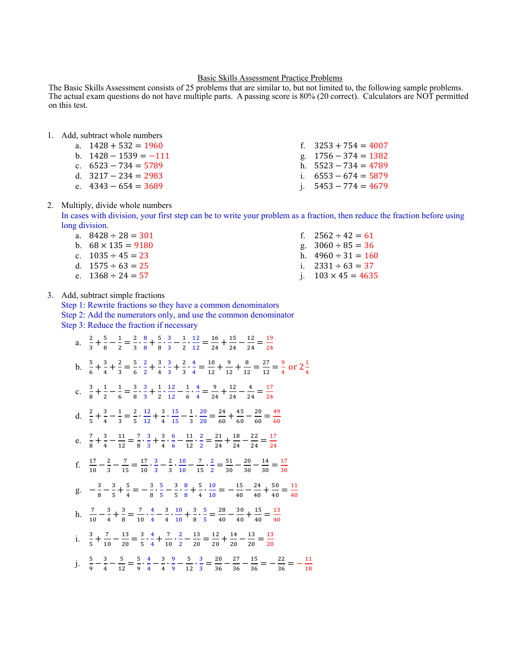#### Basic Skills Assessment Practice Problems

The Basic Skills Assessment consists of 25 problems that are similar to, but not limited to, the following sample problems. The actual exam questions do not have multiple parts. A passing score is 80% (20 correct). Calculators are NOT permitted on this test. actual exam questions do not have multiple parts. A part score is 80% (20 correct). Calculators are NOT permitted on the NOT permitted on the NOT permitted on the NOT permitted on the NOT permitted on the NOT permitted on

#### a. 1428 532 1960 f. 3253 754 4007 1. Add, subtract whole numbers

a.  $1428 + 532 = 1960$  f.  $3253 + 754 = 4007$ b.  $1428 - 1539 = -111$  g.  $1756 - 374 = 1382$ c.  $6523 - 734 = 5789$  h.  $5523 - 734 = 4789$ d.  $3217 - 234 = 2983$  i.  $6553 - 674 = 5879$ a.  $1428 + 532 = 1960$ c.  $6523 - 734 = 5789$ d.  $3217 - 234 = 2983$ e.  $4343 - 654 = 3689$ g.  $1756 - 374 = 1382$ j.  $5453 - 774 = 4679$ 

#### 2. Multiply, divide whole numbers a fraction, then reduce the fraction before using  $\alpha$ .

In cases with division, your first step can be to write your problem as a fraction, then reduce the fraction before using long division.

| a. $8428 \div 28 = 301$   | f. $2562 \div 42 = 61$    |
|---------------------------|---------------------------|
| b. $68 \times 135 = 9180$ | g. $3060 \div 85 = 36$    |
| c. $1035 \div 45 = 23$    | h. $4960 \div 31 = 160$   |
| d. $1575 \div 63 = 25$    | i. $2331 \div 63 = 37$    |
| e. $1368 \div 24 = 57$    | j. $103 \times 45 = 4635$ |

### 3. Add, subtract simple fractions

Step 1: Rewrite fractions so they have a common denominators

Step 2: Add the numerators only, and use the common denominator Step 3: Reduce the fraction if necessary

| a. $\frac{2}{3} + \frac{5}{8} - \frac{1}{2} = \frac{2}{3} \cdot \frac{8}{8} + \frac{5}{8} \cdot \frac{3}{3} - \frac{1}{2} \cdot \frac{12}{12} = \frac{16}{24} + \frac{15}{24} - \frac{12}{24} = \frac{19}{24}$<br>b. $\frac{5}{6} + \frac{3}{4} + \frac{2}{3} = \frac{5}{6} \cdot \frac{2}{2} + \frac{3}{4} \cdot \frac{3}{3} + \frac{2}{3} \cdot \frac{4}{4} = \frac{10}{12} + \frac{9}{12} + \frac{8}{12} = \frac{27}{12} = \frac{9}{4}$ or $2\frac{1}{4}$<br>c. $\frac{3}{8} + \frac{1}{2} - \frac{1}{6} = \frac{3}{8} \cdot \frac{3}{3} + \frac{1}{2} \cdot \frac{12}{12} - \frac{1}{6} \cdot \frac{4}{4} = \frac{9}{24} + \frac{12}{24} - \frac{4}{24} = \frac{17}{24}$<br>d. $\frac{2}{5} + \frac{3}{4} - \frac{1}{3} = \frac{2}{5} \cdot \frac{12}{12} + \frac{3}{4} \cdot \frac{15}{15} - \frac{1}{3} \cdot \frac{20}{20} = \frac{24}{60} + \frac{45}{60} - \frac{20}{60} = \frac{49}{60}$<br>e. $\frac{7}{8} + \frac{3}{4} - \frac{11}{12} = \frac{7}{8} \cdot \frac{3}{3} + \frac{3}{4} \cdot \frac{6}{6} - \frac{11}{12} \cdot \frac{2}{2} = \frac{21}{24} + \frac{18}{24} - \frac{22}{24} = \frac{17}{24}$<br>f. $\frac{17}{10} - \frac{2}{3} - \frac{7}{15} = \frac{17}{10} \cdot \frac{3}{3} - \frac{2}{3} \cdot \frac{10}{10} - \frac{7}{15} \cdot \frac{2}{2} = \frac{51}{30} - \frac{20}{30} - \frac{14}{30} = \frac{17}{30}$<br>g. $-\frac{3}{8}-\frac{3}{5}+\frac{5}{4}=-\frac{3}{8}\cdot\frac{5}{5}-\frac{3}{5}\cdot\frac{8}{8}+\frac{5}{4}\cdot\frac{10}{10}=-\frac{15}{40}-\frac{24}{40}+\frac{50}{40}=\frac{11}{40}$<br>h. $\frac{7}{10} - \frac{3}{4} + \frac{3}{8} = \frac{7}{10} \cdot \frac{4}{4} - \frac{3}{4} \cdot \frac{10}{10} + \frac{3}{8} \cdot \frac{5}{5} = \frac{28}{40} - \frac{30}{40} + \frac{15}{40} = \frac{13}{40}$<br>i. $\frac{3}{5} + \frac{7}{10} - \frac{13}{20} = \frac{3}{5} \cdot \frac{4}{4} + \frac{7}{10} \cdot \frac{2}{2} - \frac{13}{20} = \frac{12}{20} + \frac{14}{20} - \frac{13}{20} = \frac{13}{20}$<br>j. $\frac{5}{9} - \frac{3}{4} - \frac{5}{12} = \frac{5}{9} \cdot \frac{4}{4} - \frac{3}{4} \cdot \frac{9}{9} - \frac{5}{12} \cdot \frac{3}{3} = \frac{20}{36} - \frac{27}{36} - \frac{15}{36} = -\frac{22}{36} = -\frac{11}{18}$ | $P_2$ . Request the Huelfon II hecessury |
|---------------------------------------------------------------------------------------------------------------------------------------------------------------------------------------------------------------------------------------------------------------------------------------------------------------------------------------------------------------------------------------------------------------------------------------------------------------------------------------------------------------------------------------------------------------------------------------------------------------------------------------------------------------------------------------------------------------------------------------------------------------------------------------------------------------------------------------------------------------------------------------------------------------------------------------------------------------------------------------------------------------------------------------------------------------------------------------------------------------------------------------------------------------------------------------------------------------------------------------------------------------------------------------------------------------------------------------------------------------------------------------------------------------------------------------------------------------------------------------------------------------------------------------------------------------------------------------------------------------------------------------------------------------------------------------------------------------------------------------------------------------------------------------------------------------------------------------------------------------------------------------------------------------------------------------------------------------------------------------------------------------------------------------------------------------------------------------------------------------------------------------------------------------------------------------------------------|------------------------------------------|
|                                                                                                                                                                                                                                                                                                                                                                                                                                                                                                                                                                                                                                                                                                                                                                                                                                                                                                                                                                                                                                                                                                                                                                                                                                                                                                                                                                                                                                                                                                                                                                                                                                                                                                                                                                                                                                                                                                                                                                                                                                                                                                                                                                                                         |                                          |
|                                                                                                                                                                                                                                                                                                                                                                                                                                                                                                                                                                                                                                                                                                                                                                                                                                                                                                                                                                                                                                                                                                                                                                                                                                                                                                                                                                                                                                                                                                                                                                                                                                                                                                                                                                                                                                                                                                                                                                                                                                                                                                                                                                                                         |                                          |
|                                                                                                                                                                                                                                                                                                                                                                                                                                                                                                                                                                                                                                                                                                                                                                                                                                                                                                                                                                                                                                                                                                                                                                                                                                                                                                                                                                                                                                                                                                                                                                                                                                                                                                                                                                                                                                                                                                                                                                                                                                                                                                                                                                                                         |                                          |
|                                                                                                                                                                                                                                                                                                                                                                                                                                                                                                                                                                                                                                                                                                                                                                                                                                                                                                                                                                                                                                                                                                                                                                                                                                                                                                                                                                                                                                                                                                                                                                                                                                                                                                                                                                                                                                                                                                                                                                                                                                                                                                                                                                                                         |                                          |
|                                                                                                                                                                                                                                                                                                                                                                                                                                                                                                                                                                                                                                                                                                                                                                                                                                                                                                                                                                                                                                                                                                                                                                                                                                                                                                                                                                                                                                                                                                                                                                                                                                                                                                                                                                                                                                                                                                                                                                                                                                                                                                                                                                                                         |                                          |
|                                                                                                                                                                                                                                                                                                                                                                                                                                                                                                                                                                                                                                                                                                                                                                                                                                                                                                                                                                                                                                                                                                                                                                                                                                                                                                                                                                                                                                                                                                                                                                                                                                                                                                                                                                                                                                                                                                                                                                                                                                                                                                                                                                                                         |                                          |
|                                                                                                                                                                                                                                                                                                                                                                                                                                                                                                                                                                                                                                                                                                                                                                                                                                                                                                                                                                                                                                                                                                                                                                                                                                                                                                                                                                                                                                                                                                                                                                                                                                                                                                                                                                                                                                                                                                                                                                                                                                                                                                                                                                                                         |                                          |
|                                                                                                                                                                                                                                                                                                                                                                                                                                                                                                                                                                                                                                                                                                                                                                                                                                                                                                                                                                                                                                                                                                                                                                                                                                                                                                                                                                                                                                                                                                                                                                                                                                                                                                                                                                                                                                                                                                                                                                                                                                                                                                                                                                                                         |                                          |
|                                                                                                                                                                                                                                                                                                                                                                                                                                                                                                                                                                                                                                                                                                                                                                                                                                                                                                                                                                                                                                                                                                                                                                                                                                                                                                                                                                                                                                                                                                                                                                                                                                                                                                                                                                                                                                                                                                                                                                                                                                                                                                                                                                                                         |                                          |
|                                                                                                                                                                                                                                                                                                                                                                                                                                                                                                                                                                                                                                                                                                                                                                                                                                                                                                                                                                                                                                                                                                                                                                                                                                                                                                                                                                                                                                                                                                                                                                                                                                                                                                                                                                                                                                                                                                                                                                                                                                                                                                                                                                                                         |                                          |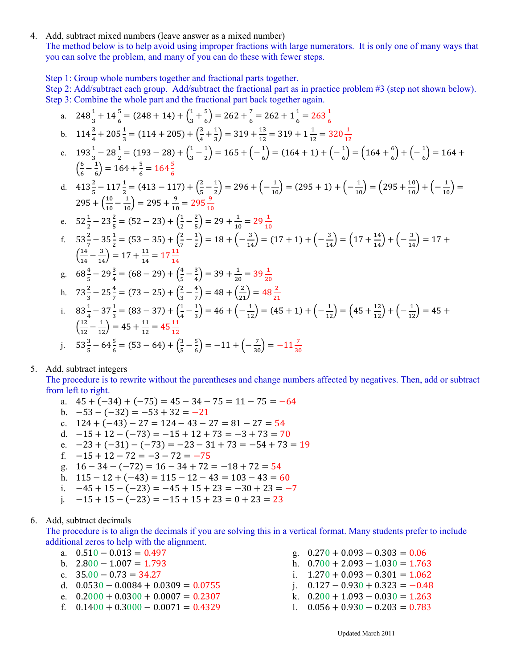4. Add, subtract mixed numbers (leave answer as a mixed number)

The method below is to help avoid using improper fractions with large numerators. It is only one of many ways that you can solve the problem, and many of you can do these with fewer steps.

Step 1: Group whole numbers together and fractional parts together.

Step 2: Add/subtract each group. Add/subtract the fractional part as in practice problem #3 (step not shown below). Step 3: Combine the whole part and the fractional part back together again.

a. 
$$
248\frac{1}{3} + 14\frac{5}{6} = (248 + 14) + (\frac{1}{3} + \frac{5}{6}) = 262 + \frac{7}{6} = 262 + 1\frac{1}{6} = 263\frac{1}{6}
$$
  
\nb.  $114\frac{3}{4} + 205\frac{1}{3} = (114 + 205) + (\frac{3}{4} + \frac{1}{3}) = 319 + \frac{13}{12} = 319 + 1\frac{1}{12} = 320\frac{1}{12}$   
\nc.  $193\frac{1}{3} - 28\frac{1}{2} = (193 - 28) + (\frac{1}{3} - \frac{1}{2}) = 165 + (-\frac{1}{6}) = (164 + 1) + (-\frac{1}{6}) = (164 + \frac{6}{6}) + (-\frac{1}{6}) = 164 + (\frac{6}{6} - \frac{1}{6}) = 164 + \frac{5}{6} = 164\frac{5}{6}$   
\nd.  $413\frac{2}{5} - 117\frac{1}{2} = (413 - 117) + (\frac{2}{5} - \frac{1}{2}) = 296 + (-\frac{1}{10}) = (295 + 1) + (-\frac{1}{10}) = (295 + \frac{10}{10}) + (-\frac{1}{10}) = 295 + (\frac{10}{10} - \frac{1}{10}) = 295 + \frac{9}{10} = 295\frac{9}{10}$   
\ne.  $52\frac{1}{2} - 23\frac{2}{5} = (52 - 23) + (\frac{1}{2} - \frac{2}{5}) = 29 + \frac{1}{10} = 29\frac{1}{10}$   
\nf.  $53\frac{2}{7} - 35\frac{1}{2} = (53 - 35) + (\frac{2}{7} - \frac{1}{2}) = 18 + (-\frac{3}{14}) = (17 + 1) + (-\frac{3}{14}) = (17 + \frac{14}{14}) + (-\frac{3}{14}) = 17 + (\frac{14}{14} - \frac{3}{14}) = 17 + \frac{14}{14} = 17\frac{11}{14}$   
\ng. 

### 5. Add, subtract integers

The procedure is to rewrite without the parentheses and change numbers affected by negatives. Then, add or subtract from left to right.

- a.  $45 + (-34) + (-75) = 45 34 75 = 11 75 = -64$
- b.  $-53 (-32) = -53 + 32 = -21$
- c.  $124 + (-43) 27 = 124 43 27 = 81 27 = 54$
- d.  $-15 + 12 (-73) = -15 + 12 + 73 = -3 + 73 = 70$
- e.  $-23 + (-31) (-73) = -23 31 + 73 = -54 + 73 = 19$
- f.  $-15 + 12 72 = -3 72 = -75$
- g.  $16 34 (-72) = 16 34 + 72 = -18 + 72 = 54$
- h.  $115 12 + (-43) = 115 12 43 = 103 43 = 60$
- i.  $-45 + 15 (-23) = -45 + 15 + 23 = -30 + 23 = -7$
- i.  $-15 + 15 - (-23) = -15 + 15 + 23 = 0 + 23 = 23$

#### 6. Add, subtract decimals

The procedure is to align the decimals if you are solving this in a vertical format. Many students prefer to include additional zeros to help with the alignment.

- a.  $0.510 0.013 = 0.497$
- b.  $2.800 1.007 = 1.793$
- c.  $35.00 0.73 = 34.27$
- d.  $0.0530 0.0084 + 0.0309 = 0.0755$
- e.  $0.2000 + 0.0300 + 0.0007 = 0.2307$
- f.  $0.1400 + 0.3000 0.0071 = 0.4329$

g.  $0.270 + 0.093 - 0.303 = 0.06$ h.  $0.700 + 2.093 - 1.030 = 1.763$ i.  $1.270 + 0.093 - 0.301 = 1.062$ i.  $0.127 - 0.930 + 0.323 = -0.48$ k.  $0.200 + 1.093 - 0.030 = 1.263$ 1.  $0.056 + 0.930 - 0.203 = 0.783$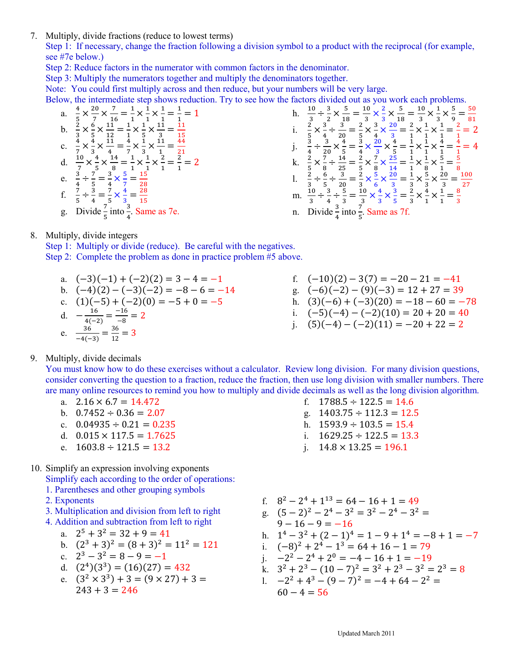7. Multiply, divide fractions (reduce to lowest terms)

Step 1: If necessary, change the fraction following a division symbol to a product with the reciprocal (for example, see #7e below.)

- Step 2: Reduce factors in the numerator with common factors in the denominator.
- Step 3: Multiply the numerators together and multiply the denominators together.

Note: You could first multiply across and then reduce, but your numbers will be very large.

Below, the intermediate step shows reduction. Try to see how the factors divided out as you work each problems

low, the intermediate step shows reduct<br>
a.  $\frac{4}{5} \times \frac{20}{7} \times \frac{7}{16} = \frac{1}{1} \times \frac{1}{1} \times \frac{1}{1} = \frac{1}{1} = 1$ <br>
b.  $\frac{2}{3} \times \frac{6}{5} \times \frac{11}{12} = \frac{1}{1} \times \frac{1}{5} \times \frac{11}{3} = \frac{11}{15}$ <br>
c.  $\frac{4}{7} \times \frac{4}{3} \times \frac{11}{4} = \frac{4}{7}$ 

In this equation, we have 
$$
\frac{10}{3}
$$
 and  $\frac{10}{3} \div \frac{3}{2} \times \frac{5}{18} = \frac{10}{3} \times \frac{2}{3} \times \frac{5}{18} = \frac{10}{3} \times \frac{1}{3} \times \frac{5}{9} = \frac{50}{81}$   
\ni.  $\frac{2}{5} \times \frac{3}{4} \div \frac{3}{20} = \frac{2}{5} \times \frac{3}{4} \times \frac{20}{3} = \frac{2}{5} \times \frac{1}{4} \times \frac{1}{1} = \frac{2}{1} = 2$   
\nj.  $\frac{3}{4} \div \frac{3}{20} \times \frac{4}{5} = \frac{3}{4} \times \frac{20}{3} \times \frac{4}{5} = \frac{1}{1} \times \frac{1}{1} \times \frac{4}{1} = \frac{4}{1} = 4$   
\nk.  $\frac{2}{5} \times \frac{7}{8} \div \frac{14}{25} = \frac{2}{5} \times \frac{7}{8} \times \frac{25}{14} = \frac{1}{1} \times \frac{1}{1} \times \frac{5}{1} = \frac{5}{8}$   
\nl.  $\frac{2}{3} \div \frac{6}{5} \div \frac{3}{20} = \frac{2}{3} \times \frac{5}{6} \times \frac{20}{3} = \frac{1}{3} \times \frac{5}{3} \times \frac{20}{3} = \frac{100}{27}$   
\nm.  $\frac{10}{3} \div \frac{3}{4} \div \frac{5}{3} = \frac{10}{3} \times \frac{4}{3} \times \frac{3}{5} = \frac{2}{3} \times \frac{4}{1} \times \frac{1}{1} = \frac{8}{3}$   
\nn. Divide  $\frac{3}{4}$  into  $\frac{7}{5}$ . Same as 7f.

#### 8. Multiply, divide integers

Step 1: Multiply or divide (reduce). Be careful with the negatives. Step 2: Complete the problem as done in practice problem #5 above.

- a.  $(-3)(-1) + (-2)(2) = 3 4 = -1$
- b.  $(-4)(2) (-3)(-2) = -8 6 = -14$

c. 
$$
(1)(-5) + (-2)(0) = -5 + 0 = -5
$$

d. 
$$
-\frac{16}{4(2)} = \frac{-16}{2} = 2
$$

$$
\begin{array}{c}\n4(-2) & -8 \\
36 & 36\n\end{array}
$$

e.  $\frac{36}{-4(-3)} = \frac{30}{12} = 3$ 

- f.  $(-10)(2) 3(7) = -20 21 = -41$ g.  $(-6)(-2) - (9)(-3) = 12 + 27 = 39$ h.  $(3)(-6) + (-3)(20) = -18 - 60 = -78$
- i.  $(-5)(-4) (-2)(10) = 20 + 20 = 40$
- i.  $(5)(-4) (-2)(11) = -20 + 22 = 2$

f.  $1788.5 \div 122.5 = 14.6$ 

h.  $1593.9 \div 103.5 = 15.4$ 

i.  $1629.25 \div 122.5 = 13.3$ 

i.  $14.8 \times 13.25 = 196.1$ 

g.  $1403.75 \div 112.3 = 12.5$ 

### 9. Multiply, divide decimals

You must know how to do these exercises without a calculator. Review long division. For many division questions, consider converting the question to a fraction, reduce the fraction, then use long division with smaller numbers. There are many online resources to remind you how to multiply and divide decimals as well as the long division algorithm.

- a.  $2.16 \times 6.7 = 14.472$
- b.  $0.7452 \div 0.36 = 2.07$
- c.  $0.04935 \div 0.21 = 0.235$
- d.  $0.015 \times 117.5 = 1.7625$
- e.  $1603.8 \div 121.5 = 13.2$
- 10. Simplify an expression involving exponents
	- Simplify each according to the order of operations:
	- 1. Parentheses and other grouping symbols
	- 2. Exponents
	- 3. Multiplication and division from left to right
	- 4. Addition and subtraction from left to right

a. 
$$
2^5 + 3^2 = 32 + 9 = 41
$$

b. 
$$
(2^3 + 3)^2 = (8 + 3)^2 = 11^2 = 121
$$

- c.  $2^3 3^2 = 8 9 = -1$
- d.  $(2^4)(3^3) = (16)(27) = 432$
- e.  $(3^2 \times 3^3) + 3 = (9 \times 27) + 3 =$  $243 + 3 = 246$
- f  $8^2 2^4 + 1^{13} = 64 16 + 1 = 49$
- g.  $(5-2)^2 2^4 3^2 = 3^2 2^4 3^2 =$
- $9 16 9 = -16$
- h.  $1^4 3^2 + (2 1)^4 = 1 9 + 1^4 = -8 + 1 = -7$
- i.  $(-8)^2 + 2^4 1^3 = 64 + 16 1 = 79$
- i  $-2^2 2^4 + 2^0 = -4 16 + 1 = -19$
- k.  $3^2 + 2^3 (10 7)^2 = 3^2 + 2^3 3^2 = 2^3 = 8$
- 1.  $-2^2 + 4^3 (9 7)^2 = -4 + 64 2^2 =$  $60 - 4 = 56$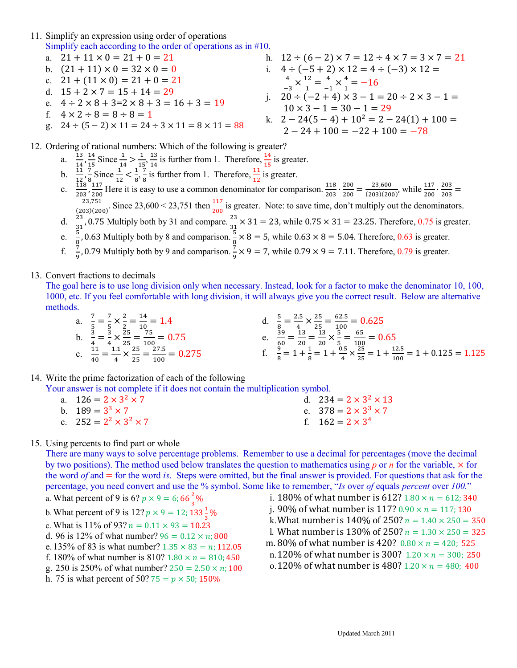- 11. Simplify an expression using order of operations Simplify each according to the order of operations as in  $#10$ .
	- a.  $21 + 11 \times 0 = 21 + 0 = 21$
	- b.  $(21 + 11) \times 0 = 32 \times 0 = 0$
	- c.  $21 + (11 \times 0) = 21 + 0 = 21$
	- d.  $15 + 2 \times 7 = 15 + 14 = 29$
	- e.  $4 \div 2 \times 8 + 3 = 2 \times 8 + 3 = 16 + 3 = 19$
	- f.  $4 \times 2 \div 8 = 8 \div 8 = 1$
	- g.  $24 \div (5-2) \times 11 = 24 \div 3 \times 11 = 8 \times 11 = 88$
- h.  $12 \div (6-2) \times 7 = 12 \div 4 \times 7 = 3 \times 7 = 21$ i.  $4 \div (-5 + 2) \times 12 = 4 \div (-3) \times 12 =$  $\frac{4}{-3} \times \frac{12}{1} = \frac{4}{-1} \times \frac{4}{1} = -16$ j.  $20 \div (-2 + 4) \times 3 - 1 = 20 \div 2 \times 3 - 1 =$  $10 \times 3 - 1 = 30 - 1 = 29$ k.  $2-24(5-4) + 10^2 = 2 - 24(1) + 100 =$  $2 - 24 + 100 = -22 + 100 = -78$

12. Ordering of rational numbers: Which of the following is greater?

- a.  $\frac{13}{14}, \frac{14}{15}$  Since  $\frac{1}{14} > \frac{1}{15}, \frac{13}{14}$  is further from 1. Therefore,  $\frac{14}{15}$  is greater.<br>b.  $\frac{11}{12}, \frac{7}{8}, \frac{1}{12}$  Since  $\frac{1}{12} < \frac{1}{8}, \frac{7}{8}$  is further from 1. Therefore,  $\frac{11}{12}$  is g
- 

c.  $\frac{12}{203}, \frac{8}{200}$  Here it is easy to use a common denominator for comparison.  $\frac{118}{203} \cdot \frac{200}{200} = \frac{23,600}{(203)(200)}$ , while  $\frac{117}{200} \cdot \frac{203}{203} = \frac{23,751}{(203)(200)}$ . Since 23,600 < 23,751 then  $\frac{117$ 

- 
- 
- e.  $\frac{3}{8}$ , 0.63 Multiply both by 8 and comparison.  $\frac{3}{8}$  × 8 = 5, while 0.63 × 8 = 5.04. Therefore, 0.63 is greater.<br>f.  $\frac{7}{9}$ , 0.79 Multiply both by 9 and comparison.  $\frac{7}{9}$  × 9 = 7, while 0.79 × 9 = 7.11. T

### 13. Convert fractions to decimals

The goal here is to use long division only when necessary. Instead, look for a factor to make the denominator 10, 100, 1000, etc. If you feel comfortable with long division, it will always give you the correct result. Below are alternative methods.

d.  $\frac{5}{8} = \frac{2.5}{4} \times \frac{25}{25} = \frac{62.5}{100} = 0.625$ <br>
e.  $\frac{39}{60} = \frac{13}{20} = \frac{13}{20} \times \frac{5}{5} = \frac{65}{100} = 0.65$ <br>
f.  $\frac{9}{8} = 1 + \frac{1}{8} = 1 + \frac{0.5}{4} \times \frac{25}{25} = 1 + \frac{12.5}{100} = 1 + 0.125 = 1.125$ a.  $\frac{7}{5} = \frac{7}{5} \times \frac{2}{2} = \frac{14}{10} = 1.4$ <br>
b.  $\frac{3}{4} = \frac{3}{4} \times \frac{25}{25} = \frac{75}{100} = 0.75$ <br>
c.  $\frac{11}{40} = \frac{1.1}{4} \times \frac{25}{25} = \frac{27.5}{100} = 0.275$ 

14. Write the prime factorization of each of the following

Your answer is not complete if it does not contain the multiplication symbol.

| a. $126 = 2 \times 3^2 \times 7$   | d. $234 = 2 \times 3^2 \times 13$ |
|------------------------------------|-----------------------------------|
| b $189 = 3^3 \times 7$             | e. $378 = 2 \times 3^3 \times 7$  |
| c. $252 = 2^2 \times 3^2 \times 7$ | f. $162 = 2 \times 3^4$           |

## 15. Using percents to find part or whole

There are many ways to solve percentage problems. Remember to use a decimal for percentages (move the decimal by two positions). The method used below translates the question to mathematics using p or n for the variable,  $\times$  for the word  $of$  and  $=$  for the word is. Steps were omitted, but the final answer is provided. For questions that ask for the percentage, you need convert and use the % symbol. Some like to remember, "Is over of equals percent over 100."

- a. What percent of 9 is 6?  $p \times 9 = 6$ ; 66 $\frac{2}{3}$ %
- b. What percent of 9 is 12?  $p \times 9 = 12$ ;  $133\frac{1}{3}\%$
- c. What is 11% of 93?  $n = 0.11 \times 93 = 10.23$
- d. 96 is 12% of what number?  $96 = 0.12 \times n: 800$
- e. 135% of 83 is what number?  $1.35 \times 83 = n$ ; 112.05
- f. 180% of what number is 810?  $1.80 \times n = 810; 450$
- g. 250 is 250% of what number?  $250 = 2.50 \times n$ ; 100
- h. 75 is what percent of 50? 75 =  $p \times 50$ ; 150%
- i. 180% of what number is 612?  $1.80 \times n = 612$ ; 340 j. 90% of what number is 117?  $0.90 \times n = 117$ ; 130 k. What number is 140% of 250?  $n = 1.40 \times 250 = 350$ l. What number is 130% of 250?  $n = 1.30 \times 250 = 325$ m. 80% of what number is 420?  $0.80 \times n = 420$ ; 525 n.120% of what number is 300?  $1.20 \times n = 300$ ; 250 o.120% of what number is 480?  $1.20 \times n = 480$ ; 400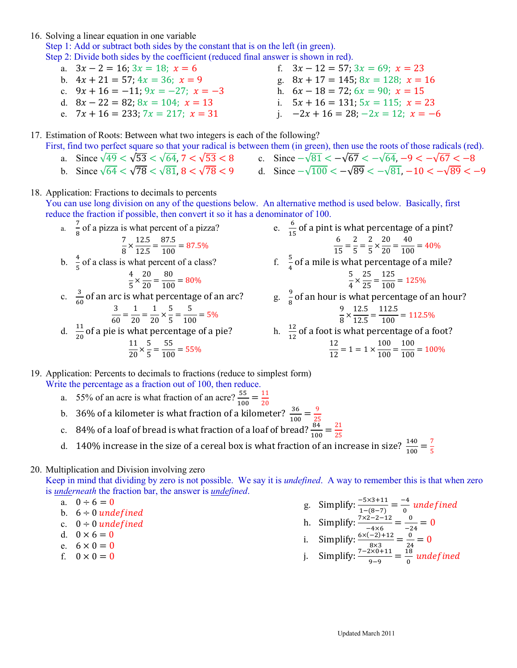16. Solving a linear equation in one variable

Step 1: Add or subtract both sides by the constant that is on the left (in green).

Step 2: Divide both sides by the coefficient (reduced final answer is shown in red).

- a.  $3x 2 = 16$ ;  $3x = 18$ ;  $x = 6$ b.  $4x + 21 = 57$ ;  $4x = 36$ ;  $x = 9$ c.  $9x + 16 = -11$ ;  $9x = -27$ ;  $x = -3$ d.  $8x - 22 = 82$ ;  $8x = 104$ ;  $x = 13$ f.  $3x - 12 = 57$ ;  $3x = 69$ ;  $x = 23$ g.  $8x + 17 = 145$ ;  $8x = 128$ ;  $x = 16$ h.  $6x - 18 = 72$ ;  $6x = 90$ ;  $x = 15$ i.  $5x + 16 = 131$ ;  $5x = 115$ ;  $x = 23$
- e.  $7x + 16 = 233$ ;  $7x = 217$ ;  $x = 31$
- i.  $-2x + 16 = 28$ ;  $-2x = 12$ ;  $x = -6$

17. Estimation of Roots: Between what two integers is each of the following?

- First, find two perfect square so that your radical is between them (in green), then use the roots of those radicals (red).
	- a. Since  $\sqrt{49} < \sqrt{53} < \sqrt{64}$ , 7  $< \sqrt{53} < 8$ b. Since  $\sqrt{64} < \sqrt{78} < \sqrt{81}$ ,  $8 < \sqrt{78} < 9$ c. Since  $-\sqrt{81} < -\sqrt{67} < -\sqrt{64}$ ,  $-9 < -\sqrt{67} < -8$ d. Since  $-\sqrt{100} < -\sqrt{89} < -\sqrt{81}$ ,  $-10 < -\sqrt{89} < -9$

18. Application: Fractions to decimals to percents

You can use long division on any of the questions below. An alternative method is used below. Basically, first reduce the fraction if possible, then convert it so it has a denominator of 100.

a.  $\frac{7}{8}$  of a pizza is what percent of a pizza?

$$
\frac{7}{8} \times \frac{12.5}{12.5} = \frac{87.5}{100} = 87.5\%
$$

b.  $\frac{4}{5}$  of a class is what percent of a class?

$$
\frac{4}{5} \times \frac{20}{20} = \frac{80}{100} = 80\%
$$

c.  $\frac{3}{60}$  of an arc is what percentage of an arc?

$$
\frac{3}{60} = \frac{1}{20} = \frac{1}{20} \times \frac{5}{5} = \frac{5}{100} = 5\%
$$

d.  $\frac{11}{20}$  of a pie is what percentage of a pie?

$$
\frac{11}{20} \times \frac{5}{5} = \frac{55}{100} = 55\%
$$

e.  $\frac{6}{15}$  of a pint is what percentage of a pint?<br>  $\frac{6}{15} = \frac{2}{5} = \frac{2}{5} \times \frac{20}{20} = \frac{40}{100} = 40\%$ f.  $\frac{5}{4}$  of a mile is what percentage of a mile? 5  $\frac{5}{4} \times \frac{25}{25} = \frac{125}{100} = 125\%$  $g^{2}$ ,  $\frac{9}{9}$  $\frac{9}{8}$  of an hour is what percentage of an hour?

$$
\frac{9}{8} \times \frac{12.5}{12.5} = \frac{112.5}{100} = 112.5\%
$$

h. 
$$
\frac{12}{12}
$$
 of a foot is what percentage of a foot?  

$$
\frac{12}{12} = 1 = 1 \times \frac{100}{100} = \frac{100}{100} = 100\%
$$

19. Application: Percents to decimals to fractions (reduce to simplest form) Write the percentage as a fraction out of 100, then reduce.

- a. 55% of an acre is what fraction of an acre?  $\frac{55}{100} = \frac{11}{20}$
- b. 36% of a kilometer is what fraction of a kilometer?  $\frac{36}{100} = \frac{9}{25}$
- c. 84% of a loaf of bread is what fraction of a loaf of bread?  $\frac{84}{100} = \frac{21}{25}$
- d. 140% increase in the size of a cereal box is what fraction of an increase in size?  $\frac{140}{100} = \frac{7}{5}$

## 20. Multiplication and Division involving zero

Keep in mind that dividing by zero is not possible. We say it is *undefined*. A way to remember this is that when zero is *underneath* the fraction bar, the answer is *undefined*.

- a.  $0 \div 6 = 0$
- b.  $6 \div 0$  undefined
- c.  $0 \div 0$  undefined
- d.  $0 \times 6 = 0$
- e.  $6 \times 0 = 0$
- f.  $0 \times 0 = 0$

g. Simplify:  $\frac{-5 \times 3 + 11}{1 - (8 - 7)} = \frac{-4}{0}$  undefined h. Simplify:  $\frac{7 \times 2 - 2 - 12}{-4 \times 6} = \frac{0}{-24} = 0$ i. Simplify:  $\frac{6 \times (-2) + 12}{8 \times 3} = \frac{0}{24} = 0$ j. Simplify:  $\frac{7-2\times 0+11}{9-9} = \frac{18}{0}$  undefined